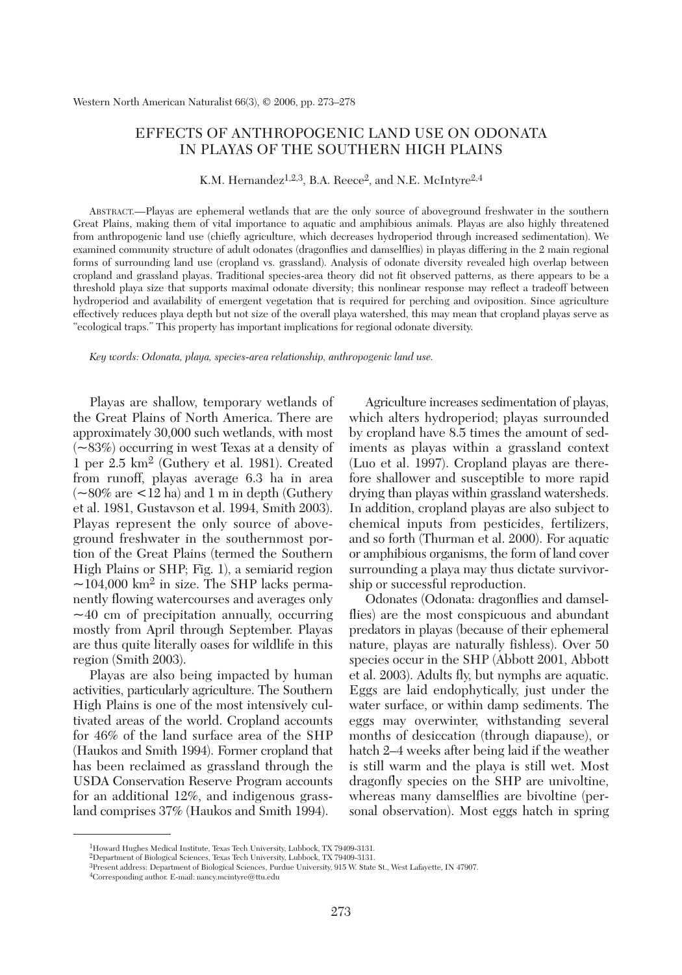# EFFECTS OF ANTHROPOGENIC LAND USE ON ODONATA IN PLAYAS OF THE SOUTHERN HIGH PLAINS

K.M. Hernandez<sup>1,2,3</sup>, B.A. Reece<sup>2</sup>, and N.E. McIntyre<sup>2,4</sup>

ABSTRACT.—Playas are ephemeral wetlands that are the only source of aboveground freshwater in the southern Great Plains, making them of vital importance to aquatic and amphibious animals. Playas are also highly threatened from anthropogenic land use (chiefly agriculture, which decreases hydroperiod through increased sedimentation). We examined community structure of adult odonates (dragonflies and damselflies) in playas differing in the 2 main regional forms of surrounding land use (cropland vs. grassland). Analysis of odonate diversity revealed high overlap between cropland and grassland playas. Traditional species-area theory did not fit observed patterns, as there appears to be a threshold playa size that supports maximal odonate diversity; this nonlinear response may reflect a tradeoff between hydroperiod and availability of emergent vegetation that is required for perching and oviposition. Since agriculture effectively reduces playa depth but not size of the overall playa watershed, this may mean that cropland playas serve as "ecological traps." This property has important implications for regional odonate diversity.

*Key words: Odonata, playa, species-area relationship, anthropogenic land use.*

Playas are shallow, temporary wetlands of the Great Plains of North America. There are approximately 30,000 such wetlands, with most  $(-83%)$  occurring in west Texas at a density of 1 per 2.5 km2 (Guthery et al. 1981). Created from runoff, playas average 6.3 ha in area  $(-80\% \text{ are } 12 \text{ ha})$  and 1 m in depth (Guthery et al. 1981, Gustavson et al. 1994, Smith 2003). Playas represent the only source of aboveground freshwater in the southernmost portion of the Great Plains (termed the Southern High Plains or SHP; Fig. 1), a semiarid region  $\sim$ 104,000 km<sup>2</sup> in size. The SHP lacks permanently flowing watercourses and averages only  $\sim$ 40 cm of precipitation annually, occurring mostly from April through September. Playas are thus quite literally oases for wildlife in this region (Smith 2003).

Playas are also being impacted by human activities, particularly agriculture. The Southern High Plains is one of the most intensively cultivated areas of the world. Cropland accounts for 46% of the land surface area of the SHP (Haukos and Smith 1994). Former cropland that has been reclaimed as grassland through the USDA Conservation Reserve Program accounts for an additional 12%, and indigenous grassland comprises 37% (Haukos and Smith 1994).

Agriculture increases sedimentation of playas, which alters hydroperiod; playas surrounded by cropland have 8.5 times the amount of sediments as playas within a grassland context (Luo et al. 1997). Cropland playas are therefore shallower and susceptible to more rapid drying than playas within grassland watersheds. In addition, cropland playas are also subject to chemical inputs from pesticides, fertilizers, and so forth (Thurman et al. 2000). For aquatic or amphibious organisms, the form of land cover surrounding a playa may thus dictate survivorship or successful reproduction.

Odonates (Odonata: dragonflies and damselflies) are the most conspicuous and abundant predators in playas (because of their ephemeral nature, playas are naturally fishless). Over 50 species occur in the SHP (Abbott 2001, Abbott et al. 2003). Adults fly, but nymphs are aquatic. Eggs are laid endophytically, just under the water surface, or within damp sediments. The eggs may overwinter, withstanding several months of desiccation (through diapause), or hatch 2–4 weeks after being laid if the weather is still warm and the playa is still wet. Most dragonfly species on the SHP are univoltine, whereas many damselflies are bivoltine (personal observation). Most eggs hatch in spring

<sup>1</sup>Howard Hughes Medical Institute, Texas Tech University, Lubbock, TX 79409-3131.

<sup>2</sup>Department of Biological Sciences, Texas Tech University, Lubbock, TX 79409-3131.

<sup>3</sup>Present address: Department of Biological Sciences, Purdue University, 915 W. State St., West Lafayette, IN 47907.

<sup>4</sup>Corresponding author. E-mail: nancy.mcintyre@ttu.edu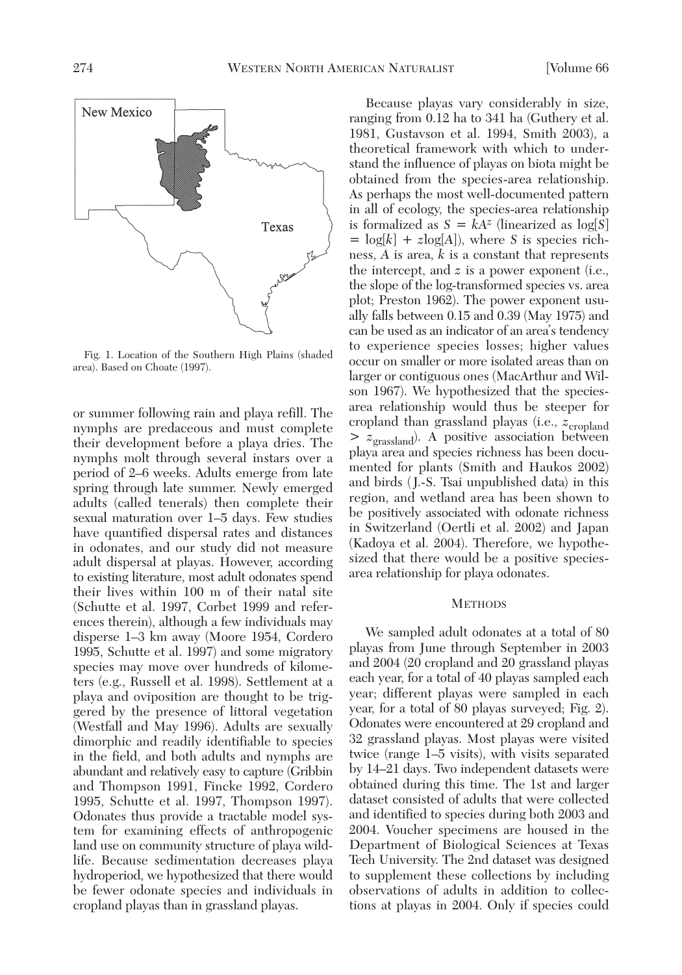

Fig. 1. Location of the Southern High Plains (shaded area). Based on Choate (1997).

or summer following rain and playa refill. The nymphs are predaceous and must complete their development before a playa dries. The nymphs molt through several instars over a period of 2–6 weeks. Adults emerge from late spring through late summer. Newly emerged adults (called tenerals) then complete their sexual maturation over 1–5 days. Few studies have quantified dispersal rates and distances in odonates, and our study did not measure adult dispersal at playas. However, according to existing literature, most adult odonates spend their lives within 100 m of their natal site (Schutte et al. 1997, Corbet 1999 and references therein), although a few individuals may disperse 1–3 km away (Moore 1954, Cordero 1995, Schutte et al. 1997) and some migratory species may move over hundreds of kilometers (e.g., Russell et al. 1998). Settlement at a playa and oviposition are thought to be triggered by the presence of littoral vegetation (Westfall and May 1996). Adults are sexually dimorphic and readily identifiable to species in the field, and both adults and nymphs are abundant and relatively easy to capture (Gribbin and Thompson 1991, Fincke 1992, Cordero 1995, Schutte et al. 1997, Thompson 1997). Odonates thus provide a tractable model system for examining effects of anthropogenic land use on community structure of playa wildlife. Because sedimentation decreases playa hydroperiod, we hypothesized that there would be fewer odonate species and individuals in cropland playas than in grassland playas.

Because playas vary considerably in size, ranging from 0.12 ha to 341 ha (Guthery et al. 1981, Gustavson et al. 1994, Smith 2003), a theoretical framework with which to understand the influence of playas on biota might be obtained from the species-area relationship. As perhaps the most well-documented pattern in all of ecology, the species-area relationship is formalized as  $S = kA^z$  (linearized as  $log[S]$  $=$   $log[k] + zlog[A]$ , where *S* is species richness, *A* is area, *k* is a constant that represents the intercept, and *z* is a power exponent (i.e., the slope of the log-transformed species vs. area plot; Preston 1962). The power exponent usually falls between 0.15 and 0.39 (May 1975) and can be used as an indicator of an area's tendency to experience species losses; higher values occur on smaller or more isolated areas than on larger or contiguous ones (MacArthur and Wilson 1967). We hypothesized that the speciesarea relationship would thus be steeper for cropland than grassland playas (i.e.,  $z_{\text{cropland}}$ > *z*grassland). A positive association between playa area and species richness has been documented for plants (Smith and Haukos 2002) and birds ( J.-S. Tsai unpublished data) in this region, and wetland area has been shown to be positively associated with odonate richness in Switzerland (Oertli et al. 2002) and Japan (Kadoya et al. 2004). Therefore, we hypothesized that there would be a positive speciesarea relationship for playa odonates.

#### **METHODS**

We sampled adult odonates at a total of 80 playas from June through September in 2003 and 2004 (20 cropland and 20 grassland playas each year, for a total of 40 playas sampled each year; different playas were sampled in each year, for a total of 80 playas surveyed; Fig. 2). Odonates were encountered at 29 cropland and 32 grassland playas. Most playas were visited twice (range 1–5 visits), with visits separated by 14–21 days. Two independent datasets were obtained during this time. The 1st and larger dataset consisted of adults that were collected and identified to species during both 2003 and 2004. Voucher specimens are housed in the Department of Biological Sciences at Texas Tech University. The 2nd dataset was designed to supplement these collections by including observations of adults in addition to collections at playas in 2004. Only if species could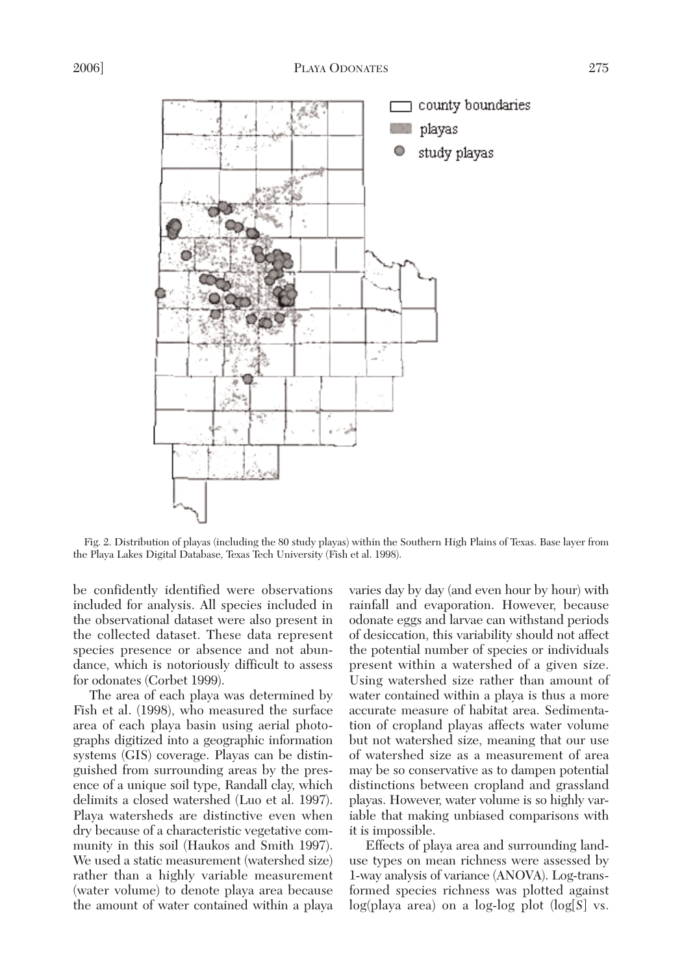

Fig. 2. Distribution of playas (including the 80 study playas) within the Southern High Plains of Texas. Base layer from the Playa Lakes Digital Database, Texas Tech University (Fish et al. 1998).

be confidently identified were observations included for analysis. All species included in the observational dataset were also present in the collected dataset. These data represent species presence or absence and not abundance, which is notoriously difficult to assess for odonates (Corbet 1999).

The area of each playa was determined by Fish et al. (1998), who measured the surface area of each playa basin using aerial photographs digitized into a geographic information systems (GIS) coverage. Playas can be distinguished from surrounding areas by the presence of a unique soil type, Randall clay, which delimits a closed watershed (Luo et al. 1997). Playa watersheds are distinctive even when dry because of a characteristic vegetative community in this soil (Haukos and Smith 1997). We used a static measurement (watershed size) rather than a highly variable measurement (water volume) to denote playa area because the amount of water contained within a playa varies day by day (and even hour by hour) with rainfall and evaporation. However, because odonate eggs and larvae can withstand periods of desiccation, this variability should not affect the potential number of species or individuals present within a watershed of a given size. Using watershed size rather than amount of water contained within a playa is thus a more accurate measure of habitat area. Sedimentation of cropland playas affects water volume but not watershed size, meaning that our use of watershed size as a measurement of area may be so conservative as to dampen potential distinctions between cropland and grassland playas. However, water volume is so highly variable that making unbiased comparisons with it is impossible.

Effects of playa area and surrounding landuse types on mean richness were assessed by 1-way analysis of variance (ANOVA). Log-transformed species richness was plotted against log(playa area) on a log-log plot (log[*S*] vs.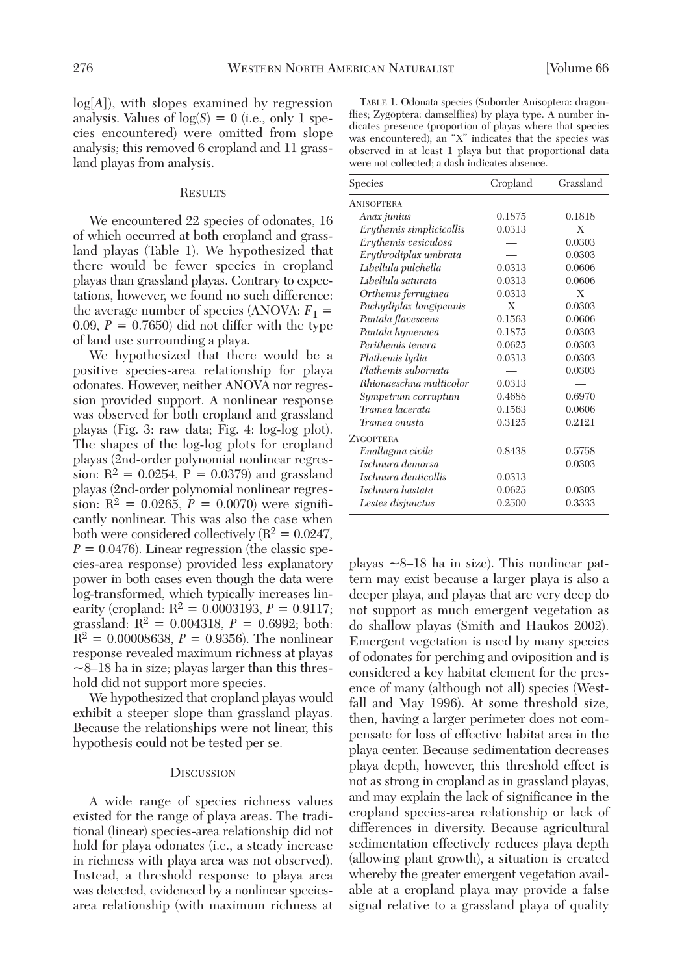log[*A*]), with slopes examined by regression analysis. Values of  $log(S) = 0$  (i.e., only 1 species encountered) were omitted from slope analysis; this removed 6 cropland and 11 grassland playas from analysis.

### **RESULTS**

We encountered 22 species of odonates, 16 of which occurred at both cropland and grassland playas (Table 1). We hypothesized that there would be fewer species in cropland playas than grassland playas. Contrary to expectations, however, we found no such difference: the average number of species (ANOVA:  $F_1$  = 0.09,  $P = 0.7650$  did not differ with the type of land use surrounding a playa.

We hypothesized that there would be a positive species-area relationship for playa odonates. However, neither ANOVA nor regression provided support. A nonlinear response was observed for both cropland and grassland playas (Fig. 3: raw data; Fig. 4: log-log plot). The shapes of the log-log plots for cropland playas (2nd-order polynomial nonlinear regression:  $R^2 = 0.0254$ ,  $P = 0.0379$ ) and grassland playas (2nd-order polynomial nonlinear regression:  $R^2 = 0.0265$ ,  $P = 0.0070$ ) were significantly nonlinear. This was also the case when both were considered collectively  $(R^2 = 0.0247)$ ,  $P = 0.0476$ ). Linear regression (the classic species-area response) provided less explanatory power in both cases even though the data were log-transformed, which typically increases linearity (cropland:  $R^2 = 0.0003193$ ,  $P = 0.9117$ ; grassland:  $R^2 = 0.004318$ ,  $P = 0.6992$ ; both:  $R^2 = 0.00008638, P = 0.9356$ . The nonlinear response revealed maximum richness at playas  $\sim$ 8–18 ha in size; playas larger than this threshold did not support more species.

We hypothesized that cropland playas would exhibit a steeper slope than grassland playas. Because the relationships were not linear, this hypothesis could not be tested per se.

#### **DISCUSSION**

A wide range of species richness values existed for the range of playa areas. The traditional (linear) species-area relationship did not hold for playa odonates (i.e., a steady increase in richness with playa area was not observed). Instead, a threshold response to playa area was detected, evidenced by a nonlinear speciesarea relationship (with maximum richness at

| TABLE 1. Odonata species (Suborder Anisoptera: dragon-     |
|------------------------------------------------------------|
| flies; Zygoptera: damselflies) by playa type. A number in- |
| dicates presence (proportion of playas where that species  |
| was encountered); an "X" indicates that the species was    |
| observed in at least 1 playa but that proportional data    |
| were not collected; a dash indicates absence.              |

| Species                  | Cropland | Grassland |
|--------------------------|----------|-----------|
| <b>ANISOPTERA</b>        |          |           |
| Anax junius              | 0.1875   | 0.1818    |
| Erythemis simplicicollis | 0.0313   | X         |
| Erythemis vesiculosa     |          | 0.0303    |
| Erythrodiplax umbrata    |          | 0.0303    |
| Libellula pulchella      | 0.0313   | 0.0606    |
| Libellula saturata       | 0.0313   | 0.0606    |
| Orthemis ferruginea      | 0.0313   | Х         |
| Pachydiplax longipennis  | X        | 0.0303    |
| Pantala flavescens       | 0.1563   | 0.0606    |
| Pantala hymenaea         | 0.1875   | 0.0303    |
| Perithemis tenera        | 0.0625   | 0.0303    |
| Plathemis lydia          | 0.0313   | 0.0303    |
| Plathemis subornata      |          | 0.0303    |
| Rhionaeschna multicolor  | 0.0313   |           |
| Sympetrum corruptum      | 0.4688   | 0.6970    |
| Tramea lacerata          | 0.1563   | 0.0606    |
| Tramea onusta            | 0.3125   | 0.2121    |
| <b>ZYGOPTERA</b>         |          |           |
| Enallagma civile         | 0.8438   | 0.5758    |
| Ischnura demorsa         |          | 0.0303    |
| Ischnura denticollis     | 0.0313   |           |
| Ischnura hastata         | 0.0625   | 0.0303    |
| Lestes disjunctus        | 0.2500   | 0.3333    |

playas  $\sim$ 8–18 ha in size). This nonlinear pattern may exist because a larger playa is also a deeper playa, and playas that are very deep do not support as much emergent vegetation as do shallow playas (Smith and Haukos 2002). Emergent vegetation is used by many species of odonates for perching and oviposition and is considered a key habitat element for the presence of many (although not all) species (Westfall and May 1996). At some threshold size, then, having a larger perimeter does not compensate for loss of effective habitat area in the playa center. Because sedimentation decreases playa depth, however, this threshold effect is not as strong in cropland as in grassland playas, and may explain the lack of significance in the cropland species-area relationship or lack of differences in diversity. Because agricultural sedimentation effectively reduces playa depth (allowing plant growth), a situation is created whereby the greater emergent vegetation available at a cropland playa may provide a false signal relative to a grassland playa of quality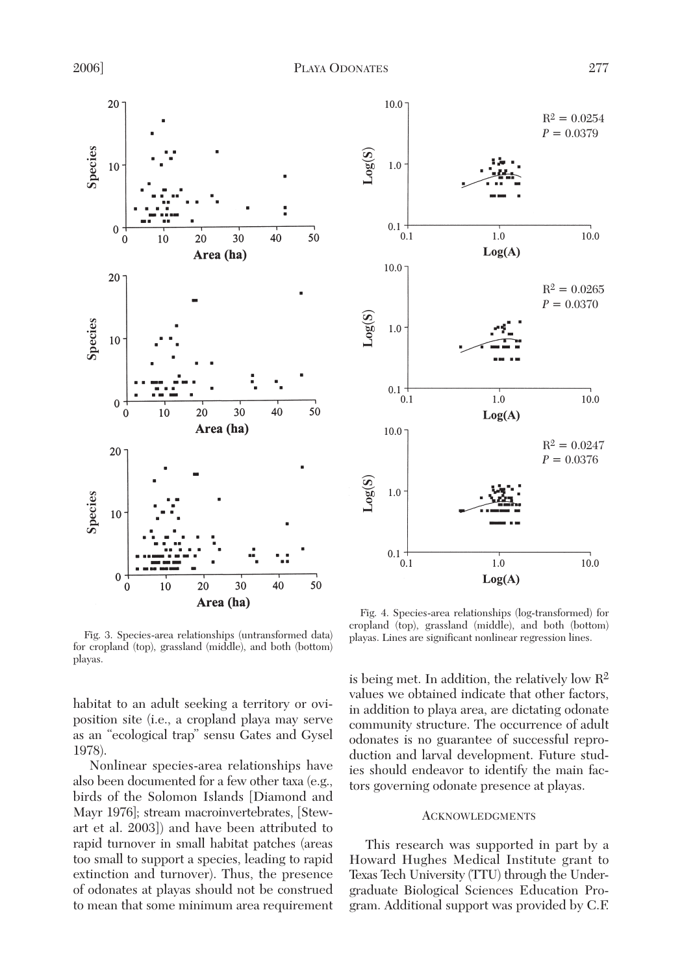

Fig. 3. Species-area relationships (untransformed data) for cropland (top), grassland (middle), and both (bottom)

habitat to an adult seeking a territory or oviposition site (i.e., a cropland playa may serve as an "ecological trap" sensu Gates and Gysel 1978).

Nonlinear species-area relationships have also been documented for a few other taxa (e.g., birds of the Solomon Islands [Diamond and Mayr 1976]; stream macroinvertebrates, [Stewart et al. 2003]) and have been attributed to rapid turnover in small habitat patches (areas too small to support a species, leading to rapid extinction and turnover). Thus, the presence of odonates at playas should not be construed to mean that some minimum area requirement



Fig. 4. Species-area relationships (log-transformed) for cropland (top), grassland (middle), and both (bottom)

is being met. In addition, the relatively low  $\mathbb{R}^2$ values we obtained indicate that other factors, in addition to playa area, are dictating odonate community structure. The occurrence of adult odonates is no guarantee of successful reproduction and larval development. Future studies should endeavor to identify the main factors governing odonate presence at playas.

## ACKNOWLEDGMENTS

This research was supported in part by a Howard Hughes Medical Institute grant to Texas Tech University (TTU) through the Undergraduate Biological Sciences Education Program. Additional support was provided by C.F.